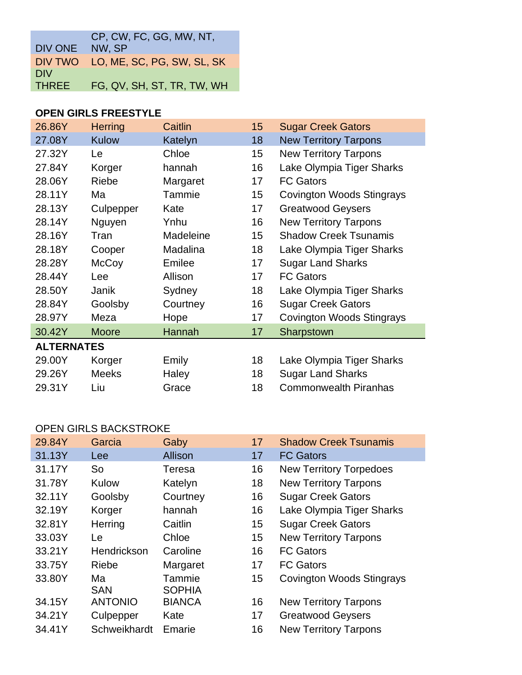|              | CP, CW, FC, GG, MW, NT,            |
|--------------|------------------------------------|
| DIV ONE      | NW, SP                             |
|              | DIV TWO LO, ME, SC, PG, SW, SL, SK |
| <b>DIV</b>   |                                    |
| <b>THREE</b> | FG, QV, SH, ST, TR, TW, WH         |

#### **OPEN GIRLS FREESTYLE**

| 26.86Y            | <b>Herring</b> | Caitlin   | 15 | <b>Sugar Creek Gators</b>        |
|-------------------|----------------|-----------|----|----------------------------------|
| 27.08Y            | Kulow          | Katelyn   | 18 | <b>New Territory Tarpons</b>     |
| 27.32Y            | Le             | Chloe     | 15 | <b>New Territory Tarpons</b>     |
| 27.84Y            | Korger         | hannah    | 16 | Lake Olympia Tiger Sharks        |
| 28.06Y            | Riebe          | Margaret  | 17 | <b>FC Gators</b>                 |
| 28.11Y            | Ma             | Tammie    | 15 | <b>Covington Woods Stingrays</b> |
| 28.13Y            | Culpepper      | Kate      | 17 | <b>Greatwood Geysers</b>         |
| 28.14Y            | Nguyen         | Ynhu      | 16 | <b>New Territory Tarpons</b>     |
| 28.16Y            | Tran           | Madeleine | 15 | <b>Shadow Creek Tsunamis</b>     |
| 28.18Y            | Cooper         | Madalina  | 18 | Lake Olympia Tiger Sharks        |
| 28.28Y            | McCoy          | Emilee    | 17 | <b>Sugar Land Sharks</b>         |
| 28.44Y            | Lee            | Allison   | 17 | <b>FC Gators</b>                 |
| 28.50Y            | Janik          | Sydney    | 18 | Lake Olympia Tiger Sharks        |
| 28.84Y            | Goolsby        | Courtney  | 16 | <b>Sugar Creek Gators</b>        |
| 28.97Y            | Meza           | Hope      | 17 | <b>Covington Woods Stingrays</b> |
| 30.42Y            | <b>Moore</b>   | Hannah    | 17 | Sharpstown                       |
| <b>ALTERNATES</b> |                |           |    |                                  |
| 29.00Y            | Korger         | Emily     | 18 | Lake Olympia Tiger Sharks        |
| 29.26Y            | <b>Meeks</b>   | Haley     | 18 | <b>Sugar Land Sharks</b>         |
| 29.31Y            | Liu            | Grace     | 18 | <b>Commonwealth Piranhas</b>     |

### OPEN GIRLS BACKSTROKE

| 29.84Y | Garcia           | Gaby                    | 17 | <b>Shadow Creek Tsunamis</b>     |
|--------|------------------|-------------------------|----|----------------------------------|
| 31.13Y | Lee              | Allison                 | 17 | <b>FC Gators</b>                 |
| 31.17Y | <b>So</b>        | Teresa                  | 16 | <b>New Territory Torpedoes</b>   |
| 31.78Y | Kulow            | Katelyn                 | 18 | <b>New Territory Tarpons</b>     |
| 32.11Y | Goolsby          | Courtney                | 16 | <b>Sugar Creek Gators</b>        |
| 32.19Y | Korger           | hannah                  | 16 | Lake Olympia Tiger Sharks        |
| 32.81Y | Herring          | Caitlin                 | 15 | <b>Sugar Creek Gators</b>        |
| 33.03Y | Le               | Chloe                   | 15 | <b>New Territory Tarpons</b>     |
| 33.21Y | Hendrickson      | Caroline                | 16 | <b>FC Gators</b>                 |
| 33.75Y | Riebe            | Margaret                | 17 | <b>FC Gators</b>                 |
| 33.80Y | Ma<br><b>SAN</b> | Tammie<br><b>SOPHIA</b> | 15 | <b>Covington Woods Stingrays</b> |
| 34.15Y | <b>ANTONIO</b>   | <b>BIANCA</b>           | 16 | <b>New Territory Tarpons</b>     |
| 34.21Y | Culpepper        | Kate                    | 17 | <b>Greatwood Geysers</b>         |
| 34.41Y | Schweikhardt     | Emarie                  | 16 | <b>New Territory Tarpons</b>     |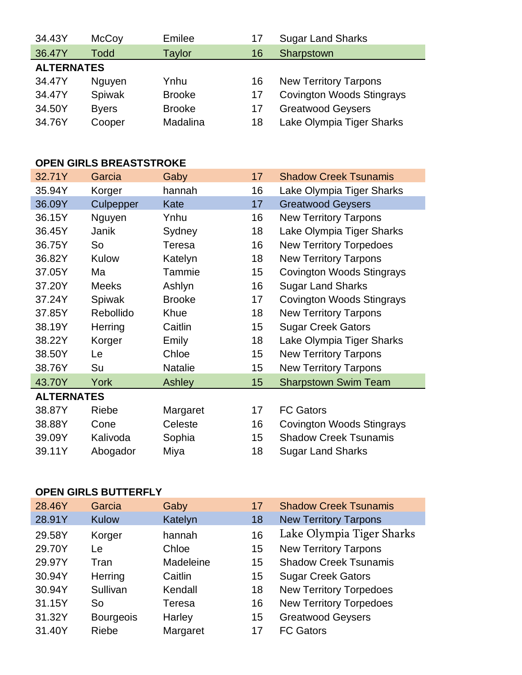| McCoy             | Emilee        | 17 | <b>Sugar Land Sharks</b>         |
|-------------------|---------------|----|----------------------------------|
| <b>Todd</b>       | <b>Taylor</b> | 16 | Sharpstown                       |
| <b>ALTERNATES</b> |               |    |                                  |
| Nguyen            | Ynhu          | 16 | <b>New Territory Tarpons</b>     |
| Spiwak            | <b>Brooke</b> | 17 | <b>Covington Woods Stingrays</b> |
| <b>Byers</b>      | <b>Brooke</b> | 17 | <b>Greatwood Geysers</b>         |
| Cooper            | Madalina      | 18 | Lake Olympia Tiger Sharks        |
|                   |               |    |                                  |

# **OPEN GIRLS BREASTSTROKE**

| 32.71Y            | Garcia       | Gaby           | 17 | <b>Shadow Creek Tsunamis</b>     |
|-------------------|--------------|----------------|----|----------------------------------|
| 35.94Y            | Korger       | hannah         | 16 | Lake Olympia Tiger Sharks        |
| 36.09Y            | Culpepper    | Kate           | 17 | <b>Greatwood Geysers</b>         |
| 36.15Y            | Nguyen       | Ynhu           | 16 | <b>New Territory Tarpons</b>     |
| 36.45Y            | Janik        | Sydney         | 18 | Lake Olympia Tiger Sharks        |
| 36.75Y            | So           | Teresa         | 16 | <b>New Territory Torpedoes</b>   |
| 36.82Y            | Kulow        | Katelyn        | 18 | <b>New Territory Tarpons</b>     |
| 37.05Y            | Ma           | Tammie         | 15 | <b>Covington Woods Stingrays</b> |
| 37.20Y            | <b>Meeks</b> | Ashlyn         | 16 | <b>Sugar Land Sharks</b>         |
| 37.24Y            | Spiwak       | <b>Brooke</b>  | 17 | <b>Covington Woods Stingrays</b> |
| 37.85Y            | Rebollido    | Khue           | 18 | <b>New Territory Tarpons</b>     |
| 38.19Y            | Herring      | Caitlin        | 15 | <b>Sugar Creek Gators</b>        |
| 38.22Y            | Korger       | Emily          | 18 | Lake Olympia Tiger Sharks        |
| 38.50Y            | Le           | Chloe          | 15 | <b>New Territory Tarpons</b>     |
| 38.76Y            | Su           | <b>Natalie</b> | 15 | <b>New Territory Tarpons</b>     |
| 43.70Y            | York         | Ashley         | 15 | <b>Sharpstown Swim Team</b>      |
| <b>ALTERNATES</b> |              |                |    |                                  |
| 38.87Y            | Riebe        | Margaret       | 17 | <b>FC Gators</b>                 |
| 38.88Y            | Cone         | Celeste        | 16 | <b>Covington Woods Stingrays</b> |
| 39.09Y            | Kalivoda     | Sophia         | 15 | <b>Shadow Creek Tsunamis</b>     |
| 39.11Y            | Abogador     | Miya           | 18 | <b>Sugar Land Sharks</b>         |
|                   |              |                |    |                                  |

## **OPEN GIRLS BUTTERFLY**

| 28.46Y | Garcia           | Gaby          | 17 | <b>Shadow Creek Tsunamis</b>   |
|--------|------------------|---------------|----|--------------------------------|
| 28.91Y | <b>Kulow</b>     | Katelyn       | 18 | <b>New Territory Tarpons</b>   |
| 29.58Y | Korger           | hannah        | 16 | Lake Olympia Tiger Sharks      |
| 29.70Y | Le.              | Chloe         | 15 | <b>New Territory Tarpons</b>   |
| 29.97Y | Tran             | Madeleine     | 15 | <b>Shadow Creek Tsunamis</b>   |
| 30.94Y | Herring          | Caitlin       | 15 | <b>Sugar Creek Gators</b>      |
| 30.94Y | Sullivan         | Kendall       | 18 | <b>New Territory Torpedoes</b> |
| 31.15Y | So               | <b>Teresa</b> | 16 | <b>New Territory Torpedoes</b> |
| 31.32Y | <b>Bourgeois</b> | Harley        | 15 | <b>Greatwood Geysers</b>       |
| 31.40Y | <b>Riebe</b>     | Margaret      | 17 | <b>FC Gators</b>               |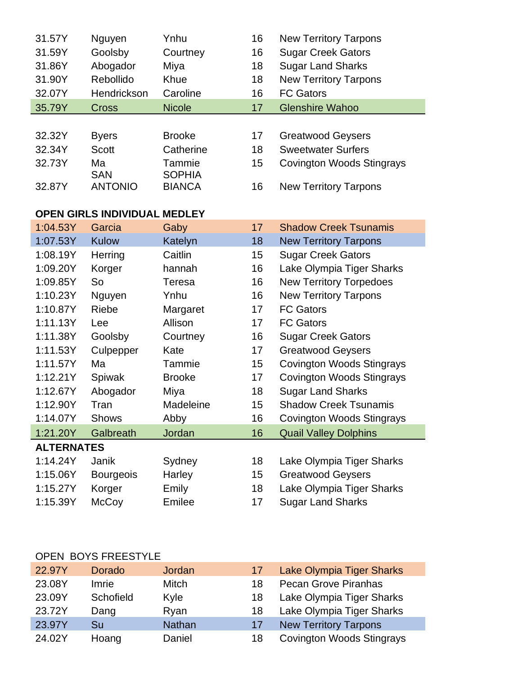| 31.57Y            | Nguyen                       | Ynhu                    | 16 | <b>New Territory Tarpons</b>     |
|-------------------|------------------------------|-------------------------|----|----------------------------------|
| 31.59Y            | Goolsby                      | Courtney                | 16 | <b>Sugar Creek Gators</b>        |
| 31.86Y            | Abogador                     | Miya                    | 18 | <b>Sugar Land Sharks</b>         |
| 31.90Y            | Rebollido                    | Khue                    | 18 | <b>New Territory Tarpons</b>     |
| 32.07Y            | Hendrickson                  | Caroline                | 16 | <b>FC Gators</b>                 |
| 35.79Y            | <b>Cross</b>                 | <b>Nicole</b>           | 17 | <b>Glenshire Wahoo</b>           |
|                   |                              |                         |    |                                  |
| 32.32Y            | <b>Byers</b>                 | <b>Brooke</b>           | 17 | <b>Greatwood Geysers</b>         |
| 32.34Y            | <b>Scott</b>                 | Catherine               | 18 | <b>Sweetwater Surfers</b>        |
| 32.73Y            | Ma<br><b>SAN</b>             | Tammie<br><b>SOPHIA</b> | 15 | <b>Covington Woods Stingrays</b> |
| 32.87Y            | <b>ANTONIO</b>               | <b>BIANCA</b>           | 16 | <b>New Territory Tarpons</b>     |
|                   | OPEN GIRLS INDIVIDUAL MEDLEY |                         |    |                                  |
| 1:04.53Y          | Garcia                       | Gaby                    | 17 | <b>Shadow Creek Tsunamis</b>     |
| 1:07.53Y          | <b>Kulow</b>                 | Katelyn                 | 18 | <b>New Territory Tarpons</b>     |
| 1:08.19Y          | Herring                      | Caitlin                 | 15 | <b>Sugar Creek Gators</b>        |
| 1:09.20Y          | Korger                       | hannah                  | 16 | Lake Olympia Tiger Sharks        |
| 1:09.85Y          | So                           | Teresa                  | 16 | <b>New Territory Torpedoes</b>   |
| 1:10.23Y          | Nguyen                       | Ynhu                    | 16 | <b>New Territory Tarpons</b>     |
| 1:10.87Y          | Riebe                        | Margaret                | 17 | <b>FC Gators</b>                 |
| 1:11.13Y          | Lee                          | Allison                 | 17 | <b>FC Gators</b>                 |
| 1:11.38Y          | Goolsby                      | Courtney                | 16 | <b>Sugar Creek Gators</b>        |
| 1:11.53Y          | Culpepper                    | Kate                    | 17 | <b>Greatwood Geysers</b>         |
| 1:11.57Y          | Ma                           | Tammie                  | 15 | <b>Covington Woods Stingrays</b> |
| 1:12.21Y          | Spiwak                       | <b>Brooke</b>           | 17 | <b>Covington Woods Stingrays</b> |
| 1:12.67Y          | Abogador                     | Miya                    | 18 | <b>Sugar Land Sharks</b>         |
| 1:12.90Y          | Tran                         | Madeleine               | 15 | <b>Shadow Creek Tsunamis</b>     |
| 1:14.07Y          | <b>Shows</b>                 | Abby                    | 16 | Covington Woods Stingrays        |
| 1:21.20Y          | Galbreath                    | Jordan                  | 16 | <b>Quail Valley Dolphins</b>     |
| <b>ALTERNATES</b> |                              |                         |    |                                  |
| 1:14.24Y          | Janik                        | Sydney                  | 18 | Lake Olympia Tiger Sharks        |
| 1:15.06Y          | <b>Bourgeois</b>             | Harley                  | 15 | <b>Greatwood Geysers</b>         |
| 1:15.27Y          | Korger                       | Emily                   | 18 | Lake Olympia Tiger Sharks        |
| 1:15.39Y          | McCoy                        | Emilee                  | 17 | <b>Sugar Land Sharks</b>         |

## OPEN BOYS FREESTYLE

| 22.97Y | <b>Dorado</b> | Jordan        | 17 | <b>Lake Olympia Tiger Sharks</b> |
|--------|---------------|---------------|----|----------------------------------|
| 23.08Y | Imrie         | Mitch         | 18 | <b>Pecan Grove Piranhas</b>      |
| 23.09Y | Schofield     | Kyle          | 18 | Lake Olympia Tiger Sharks        |
| 23.72Y | Dang          | Ryan          | 18 | Lake Olympia Tiger Sharks        |
| 23.97Y | Su            | <b>Nathan</b> | 17 | <b>New Territory Tarpons</b>     |
| 24.02Y | Hoang         | Daniel        | 18 | <b>Covington Woods Stingrays</b> |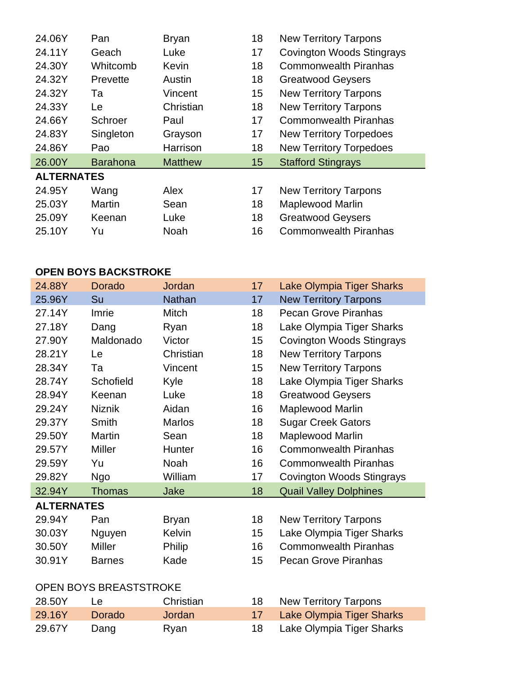| <b>Covington Woods Stingrays</b><br>24.11Y<br>17<br>Geach<br>Luke<br><b>Commonwealth Piranhas</b><br>24.30Y<br>Whitcomb<br>18<br>Kevin<br>24.32Y<br>18<br><b>Greatwood Geysers</b><br>Austin<br>Prevette<br>24.32Y<br>15<br><b>New Territory Tarpons</b><br>Vincent<br>Ta<br>24.33Y<br>Christian<br>18<br><b>New Territory Tarpons</b><br>Le<br>24.66Y<br>17<br>Schroer<br><b>Commonwealth Piranhas</b><br>Paul<br>24.83Y<br>Singleton<br>17<br><b>New Territory Torpedoes</b><br>Grayson<br>24.86Y<br>Harrison<br>18<br><b>New Territory Torpedoes</b><br>Pao<br>26.00Y<br><b>Stafford Stingrays</b><br><b>Barahona</b><br><b>Matthew</b><br>15<br><b>ALTERNATES</b><br>24.95Y<br>Wang<br>Alex<br>17<br><b>New Territory Tarpons</b> | 24.06Y | Pan           | <b>Bryan</b> | 18 | <b>New Territory Tarpons</b> |
|---------------------------------------------------------------------------------------------------------------------------------------------------------------------------------------------------------------------------------------------------------------------------------------------------------------------------------------------------------------------------------------------------------------------------------------------------------------------------------------------------------------------------------------------------------------------------------------------------------------------------------------------------------------------------------------------------------------------------------------|--------|---------------|--------------|----|------------------------------|
|                                                                                                                                                                                                                                                                                                                                                                                                                                                                                                                                                                                                                                                                                                                                       |        |               |              |    |                              |
|                                                                                                                                                                                                                                                                                                                                                                                                                                                                                                                                                                                                                                                                                                                                       |        |               |              |    |                              |
|                                                                                                                                                                                                                                                                                                                                                                                                                                                                                                                                                                                                                                                                                                                                       |        |               |              |    |                              |
|                                                                                                                                                                                                                                                                                                                                                                                                                                                                                                                                                                                                                                                                                                                                       |        |               |              |    |                              |
|                                                                                                                                                                                                                                                                                                                                                                                                                                                                                                                                                                                                                                                                                                                                       |        |               |              |    |                              |
|                                                                                                                                                                                                                                                                                                                                                                                                                                                                                                                                                                                                                                                                                                                                       |        |               |              |    |                              |
|                                                                                                                                                                                                                                                                                                                                                                                                                                                                                                                                                                                                                                                                                                                                       |        |               |              |    |                              |
|                                                                                                                                                                                                                                                                                                                                                                                                                                                                                                                                                                                                                                                                                                                                       |        |               |              |    |                              |
|                                                                                                                                                                                                                                                                                                                                                                                                                                                                                                                                                                                                                                                                                                                                       |        |               |              |    |                              |
|                                                                                                                                                                                                                                                                                                                                                                                                                                                                                                                                                                                                                                                                                                                                       |        |               |              |    |                              |
|                                                                                                                                                                                                                                                                                                                                                                                                                                                                                                                                                                                                                                                                                                                                       |        |               |              |    |                              |
|                                                                                                                                                                                                                                                                                                                                                                                                                                                                                                                                                                                                                                                                                                                                       | 25.03Y | <b>Martin</b> | Sean         | 18 | <b>Maplewood Marlin</b>      |
| <b>Greatwood Geysers</b><br>25.09Y<br>Keenan<br>Luke<br>18                                                                                                                                                                                                                                                                                                                                                                                                                                                                                                                                                                                                                                                                            |        |               |              |    |                              |
|                                                                                                                                                                                                                                                                                                                                                                                                                                                                                                                                                                                                                                                                                                                                       | 25.10Y | Yu            | Noah         | 16 | <b>Commonwealth Piranhas</b> |
|                                                                                                                                                                                                                                                                                                                                                                                                                                                                                                                                                                                                                                                                                                                                       |        |               |              |    |                              |

### **OPEN BOYS BACKSTROKE**

| 24.88Y                        | Dorado        | Jordan        | 17 | <b>Lake Olympia Tiger Sharks</b> |
|-------------------------------|---------------|---------------|----|----------------------------------|
| 25.96Y                        | Su            | <b>Nathan</b> | 17 | <b>New Territory Tarpons</b>     |
| 27.14Y                        | Imrie         | Mitch         | 18 | <b>Pecan Grove Piranhas</b>      |
| 27.18Y                        | Dang          | Ryan          | 18 | Lake Olympia Tiger Sharks        |
| 27.90Y                        | Maldonado     | Victor        | 15 | <b>Covington Woods Stingrays</b> |
| 28.21Y                        | Le            | Christian     | 18 | <b>New Territory Tarpons</b>     |
| 28.34Y                        | Та            | Vincent       | 15 | <b>New Territory Tarpons</b>     |
| 28.74Y                        | Schofield     | Kyle          | 18 | Lake Olympia Tiger Sharks        |
| 28.94Y                        | Keenan        | Luke          | 18 | <b>Greatwood Geysers</b>         |
| 29.24Y                        | <b>Niznik</b> | Aidan         | 16 | Maplewood Marlin                 |
| 29.37Y                        | Smith         | <b>Marlos</b> | 18 | <b>Sugar Creek Gators</b>        |
| 29.50Y                        | <b>Martin</b> | Sean          | 18 | Maplewood Marlin                 |
| 29.57Y                        | <b>Miller</b> | Hunter        | 16 | <b>Commonwealth Piranhas</b>     |
| 29.59Y                        | Yu            | Noah          | 16 | <b>Commonwealth Piranhas</b>     |
| 29.82Y                        | Ngo           | William       | 17 | <b>Covington Woods Stingrays</b> |
| 32.94Y                        | Thomas        | Jake          | 18 | <b>Quail Valley Dolphines</b>    |
| <b>ALTERNATES</b>             |               |               |    |                                  |
| 29.94Y                        | Pan           | <b>Bryan</b>  | 18 | <b>New Territory Tarpons</b>     |
| 30.03Y                        | Nguyen        | <b>Kelvin</b> | 15 | Lake Olympia Tiger Sharks        |
| 30.50Y                        | Miller        | Philip        | 16 | <b>Commonwealth Piranhas</b>     |
| 30.91Y                        | <b>Barnes</b> | Kade          | 15 | <b>Pecan Grove Piranhas</b>      |
|                               |               |               |    |                                  |
| <b>OPEN BOYS BREASTSTROKE</b> |               |               |    |                                  |
|                               |               |               |    |                                  |
| 28.50Y                        | Le            | Christian     | 18 | <b>New Territory Tarpons</b>     |
| 29.16Y                        | Dorado        | Jordan        | 17 | Lake Olympia Tiger Sharks        |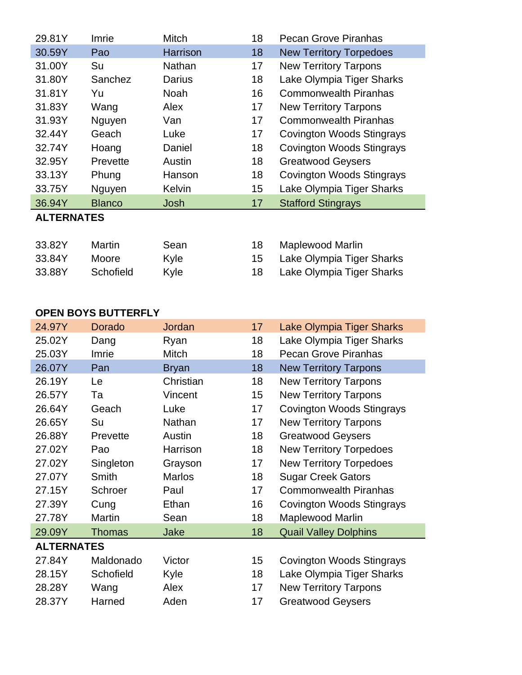| 29.81Y            | Imrie         | Mitch         | 18 | <b>Pecan Grove Piranhas</b>      |
|-------------------|---------------|---------------|----|----------------------------------|
| 30.59Y            | Pao           | Harrison      | 18 | <b>New Territory Torpedoes</b>   |
| 31.00Y            | Su            | Nathan        | 17 | <b>New Territory Tarpons</b>     |
| 31.80Y            | Sanchez       | Darius        | 18 | Lake Olympia Tiger Sharks        |
| 31.81Y            | Yu            | Noah          | 16 | <b>Commonwealth Piranhas</b>     |
| 31.83Y            | Wang          | Alex          | 17 | <b>New Territory Tarpons</b>     |
| 31.93Y            | Nguyen        | Van           | 17 | <b>Commonwealth Piranhas</b>     |
| 32.44Y            | Geach         | Luke          | 17 | <b>Covington Woods Stingrays</b> |
| 32.74Y            | Hoang         | Daniel        | 18 | <b>Covington Woods Stingrays</b> |
| 32.95Y            | Prevette      | Austin        | 18 | <b>Greatwood Geysers</b>         |
| 33.13Y            | Phung         | Hanson        | 18 | <b>Covington Woods Stingrays</b> |
| 33.75Y            | Nguyen        | <b>Kelvin</b> | 15 | Lake Olympia Tiger Sharks        |
| 36.94Y            | <b>Blanco</b> | Josh          | 17 | <b>Stafford Stingrays</b>        |
| <b>ALTERNATES</b> |               |               |    |                                  |
|                   |               |               |    |                                  |
| 33.82Y            | <b>Martin</b> | Sean          | 18 | Maplewood Marlin                 |

| 33.8Z Y | <u>Martin</u> | <b>Sean</b> | - Maplewood Mariin           |
|---------|---------------|-------------|------------------------------|
| 33.84Y  | <b>Moore</b>  | Kyle        | 15 Lake Olympia Tiger Sharks |
| 33.88Y  | Schofield     | Kyle        | Lake Olympia Tiger Sharks    |

### **OPEN BOYS BUTTERFLY**

| 24.97Y            | <b>Dorado</b> | Jordan        | 17 | <b>Lake Olympia Tiger Sharks</b> |  |  |  |
|-------------------|---------------|---------------|----|----------------------------------|--|--|--|
| 25.02Y            | Dang          | Ryan          | 18 | Lake Olympia Tiger Sharks        |  |  |  |
| 25.03Y            | Imrie         | Mitch         | 18 | <b>Pecan Grove Piranhas</b>      |  |  |  |
| 26.07Y            | Pan           | <b>Bryan</b>  | 18 | <b>New Territory Tarpons</b>     |  |  |  |
| 26.19Y            | Le            | Christian     | 18 | <b>New Territory Tarpons</b>     |  |  |  |
| 26.57Y            | Та            | Vincent       | 15 | <b>New Territory Tarpons</b>     |  |  |  |
| 26.64Y            | Geach         | Luke          | 17 | <b>Covington Woods Stingrays</b> |  |  |  |
| 26.65Y            | Su            | Nathan        | 17 | <b>New Territory Tarpons</b>     |  |  |  |
| 26.88Y            | Prevette      | Austin        | 18 | <b>Greatwood Geysers</b>         |  |  |  |
| 27.02Y            | Pao           | Harrison      | 18 | <b>New Territory Torpedoes</b>   |  |  |  |
| 27.02Y            | Singleton     | Grayson       | 17 | <b>New Territory Torpedoes</b>   |  |  |  |
| 27.07Y            | Smith         | <b>Marlos</b> | 18 | <b>Sugar Creek Gators</b>        |  |  |  |
| 27.15Y            | Schroer       | Paul          | 17 | <b>Commonwealth Piranhas</b>     |  |  |  |
| 27.39Y            | Cung          | Ethan         | 16 | <b>Covington Woods Stingrays</b> |  |  |  |
| 27.78Y            | Martin        | Sean          | 18 | Maplewood Marlin                 |  |  |  |
| 29.09Y            | <b>Thomas</b> | Jake          | 18 | <b>Quail Valley Dolphins</b>     |  |  |  |
| <b>ALTERNATES</b> |               |               |    |                                  |  |  |  |
| 27.84Y            | Maldonado     | Victor        | 15 | <b>Covington Woods Stingrays</b> |  |  |  |
| 28.15Y            | Schofield     | Kyle          | 18 | Lake Olympia Tiger Sharks        |  |  |  |
| 28.28Y            | Wang          | Alex          | 17 | <b>New Territory Tarpons</b>     |  |  |  |
| 28.37Y            | Harned        | Aden          | 17 | <b>Greatwood Geysers</b>         |  |  |  |